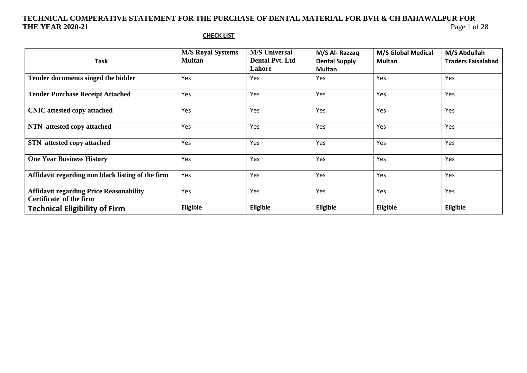#### **CHECK LIST**

| <b>Task</b>                                                               | <b>M/S Royal Systems</b><br><b>Multan</b> | <b>M/S Universal</b><br><b>Dental Pvt. Ltd</b><br>Lahore | M/S Al-Razzaq<br><b>Dental Supply</b><br><b>Multan</b> | <b>M/S Global Medical</b><br><b>Multan</b> | M/S Abdullah<br><b>Traders Faisalabad</b> |
|---------------------------------------------------------------------------|-------------------------------------------|----------------------------------------------------------|--------------------------------------------------------|--------------------------------------------|-------------------------------------------|
| Tender documents singed the bidder                                        | Yes                                       | Yes                                                      | Yes                                                    | Yes                                        | Yes                                       |
| <b>Tender Purchase Receipt Attached</b>                                   | Yes                                       | Yes                                                      | Yes                                                    | Yes                                        | Yes                                       |
| <b>CNIC</b> attested copy attached                                        | Yes                                       | Yes                                                      | Yes                                                    | Yes                                        | Yes                                       |
| NTN attested copy attached                                                | Yes                                       | Yes                                                      | Yes                                                    | Yes                                        | Yes                                       |
| <b>STN</b> attested copy attached                                         | Yes                                       | Yes                                                      | Yes                                                    | Yes                                        | Yes                                       |
| <b>One Year Business History</b>                                          | Yes                                       | Yes                                                      | Yes                                                    | Yes                                        | Yes                                       |
| Affidavit regarding non black listing of the firm                         | Yes                                       | Yes                                                      | Yes                                                    | Yes                                        | Yes                                       |
| <b>Affidavit regarding Price Reasonability</b><br>Certificate of the firm | Yes                                       | Yes                                                      | Yes                                                    | Yes                                        | Yes                                       |
| <b>Technical Eligibility of Firm</b>                                      | Eligible                                  | Eligible                                                 | Eligible                                               | Eligible                                   | <b>Eligible</b>                           |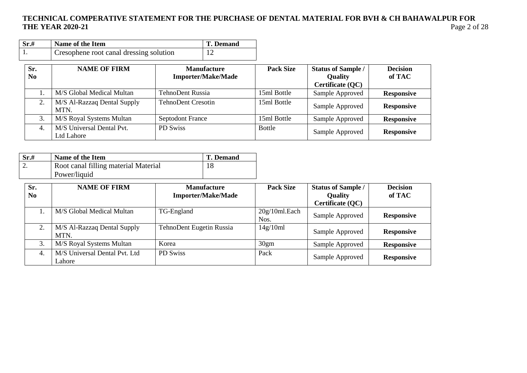| Sr.#                  | Name of the Item                        |                           | <b>T.</b> Demand                                |                  |                                                                 |                           |
|-----------------------|-----------------------------------------|---------------------------|-------------------------------------------------|------------------|-----------------------------------------------------------------|---------------------------|
| 1.                    | Cresophene root canal dressing solution |                           | 12                                              |                  |                                                                 |                           |
| Sr.<br>N <sub>0</sub> | <b>NAME OF FIRM</b>                     |                           | <b>Manufacture</b><br><b>Importer/Make/Made</b> | <b>Pack Size</b> | <b>Status of Sample /</b><br><b>Quality</b><br>Certificate (QC) | <b>Decision</b><br>of TAC |
|                       | M/S Global Medical Multan               | TehnoDent Russia          |                                                 | 15ml Bottle      | Sample Approved                                                 | <b>Responsive</b>         |
| 2.                    | M/S Al-Razzaq Dental Supply<br>MTN.     | <b>TehnoDent Cresotin</b> |                                                 | 15ml Bottle      | Sample Approved                                                 | <b>Responsive</b>         |
| 3.                    | M/S Royal Systems Multan                | <b>Septodont France</b>   |                                                 | 15ml Bottle      | Sample Approved                                                 | <b>Responsive</b>         |
| 4.                    | M/S Universal Dental Pvt.<br>Ltd Lahore | PD Swiss                  |                                                 | <b>Bottle</b>    | Sample Approved                                                 | <b>Responsive</b>         |

| Sr.# | Name of the Item                     | <b>T.</b> Demand |
|------|--------------------------------------|------------------|
|      | Root canal filling material Material |                  |
|      | Power/liquid                         |                  |

| Sr.<br>N <sub>0</sub> | <b>NAME OF FIRM</b>                     | <b>Manufacture</b><br><b>Importer/Make/Made</b> | <b>Pack Size</b>      | <b>Status of Sample /</b><br><b>Quality</b><br>Certificate (QC) | <b>Decision</b><br>of TAC |
|-----------------------|-----------------------------------------|-------------------------------------------------|-----------------------|-----------------------------------------------------------------|---------------------------|
|                       | M/S Global Medical Multan               | TG-England                                      | 20g/10ml.Each<br>Nos. | Sample Approved                                                 | <b>Responsive</b>         |
|                       | M/S Al-Razzaq Dental Supply<br>MTN.     | TehnoDent Eugetin Russia                        | 14g/10ml              | Sample Approved                                                 | <b>Responsive</b>         |
|                       | M/S Royal Systems Multan                | Korea                                           | 30 <sub>gm</sub>      | Sample Approved                                                 | <b>Responsive</b>         |
| 4.                    | M/S Universal Dental Pvt. Ltd<br>Lahore | PD Swiss                                        | Pack                  | Sample Approved                                                 | <b>Responsive</b>         |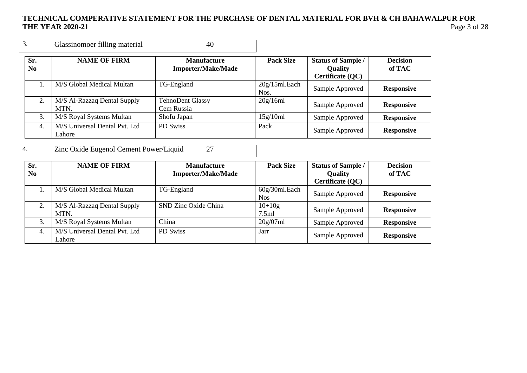| 3.        | Glassinomoer filling material           | 40                                              |                           |                                                                 |                           |
|-----------|-----------------------------------------|-------------------------------------------------|---------------------------|-----------------------------------------------------------------|---------------------------|
| Sr.<br>No | <b>NAME OF FIRM</b>                     | <b>Manufacture</b><br><b>Importer/Make/Made</b> | <b>Pack Size</b>          | <b>Status of Sample /</b><br><b>Quality</b><br>Certificate (QC) | <b>Decision</b><br>of TAC |
|           | M/S Global Medical Multan               | TG-England                                      | $20g/15ml$ . Each<br>Nos. | Sample Approved                                                 | <b>Responsive</b>         |
| 2.        | M/S Al-Razzaq Dental Supply<br>MTN.     | <b>TehnoDent Glassy</b><br>Cem Russia           | 20g/16ml                  | Sample Approved                                                 | <b>Responsive</b>         |
| 3.        | M/S Royal Systems Multan                | Shofu Japan                                     | 15g/10ml                  | Sample Approved                                                 | <b>Responsive</b>         |
| 4.        | M/S Universal Dental Pvt. Ltd<br>Lahore | PD Swiss                                        | Pack                      | Sample Approved                                                 | <b>Responsive</b>         |

4. Zinc Oxide Eugenol Cement Power/Liquid 27

| Sr.<br>No. | <b>NAME OF FIRM</b>                     | <b>Manufacture</b><br><b>Importer/Make/Made</b> | <b>Pack Size</b>            | <b>Status of Sample /</b><br><b>Quality</b><br>Certificate (QC) | <b>Decision</b><br>of TAC |
|------------|-----------------------------------------|-------------------------------------------------|-----------------------------|-----------------------------------------------------------------|---------------------------|
|            | M/S Global Medical Multan               | TG-England                                      | 60g/30ml.Each<br><b>Nos</b> | Sample Approved                                                 | <b>Responsive</b>         |
|            | M/S Al-Razzaq Dental Supply<br>MTN.     | SND Zinc Oxide China                            | $10+10g$<br>7.5ml           | Sample Approved                                                 | <b>Responsive</b>         |
| 3.         | M/S Royal Systems Multan                | China                                           | 20g/07ml                    | Sample Approved                                                 | <b>Responsive</b>         |
| 4.         | M/S Universal Dental Pvt. Ltd<br>Lahore | PD Swiss                                        | Jarr                        | Sample Approved                                                 | <b>Responsive</b>         |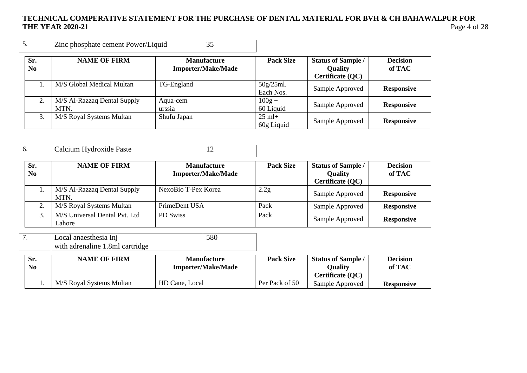| 5.         | Zinc phosphate cement Power/Liquid  | 35                                              |                                |                                                                 |                           |
|------------|-------------------------------------|-------------------------------------------------|--------------------------------|-----------------------------------------------------------------|---------------------------|
| Sr.<br>No. | <b>NAME OF FIRM</b>                 | <b>Manufacture</b><br><b>Importer/Make/Made</b> | <b>Pack Size</b>               | <b>Status of Sample /</b><br><b>Quality</b><br>Certificate (QC) | <b>Decision</b><br>of TAC |
|            | M/S Global Medical Multan           | TG-England                                      | 50g/25ml.<br>Each Nos.         | Sample Approved                                                 | <b>Responsive</b>         |
| 2.         | M/S Al-Razzaq Dental Supply<br>MTN. | Aqua-cem<br>urssia                              | $100g +$<br>60 Liquid          | Sample Approved                                                 | <b>Responsive</b>         |
| 3.         | M/S Royal Systems Multan            | Shufu Japan                                     | $25 \text{ ml}+$<br>60g Liquid | Sample Approved                                                 | <b>Responsive</b>         |

| Calcium Hydroxide Paste<br>6. |  |
|-------------------------------|--|
|-------------------------------|--|

| Sr.<br>N <sub>0</sub> | <b>NAME OF FIRM</b>                     | <b>Manufacture</b><br><b>Importer/Make/Made</b> | <b>Pack Size</b> | <b>Status of Sample /</b><br><b>Quality</b><br>Certificate (QC) | <b>Decision</b><br>of TAC |
|-----------------------|-----------------------------------------|-------------------------------------------------|------------------|-----------------------------------------------------------------|---------------------------|
|                       | M/S Al-Razzaq Dental Supply<br>MTN.     | NexoBio T-Pex Korea                             | 2.2g             | Sample Approved                                                 | <b>Responsive</b>         |
|                       | M/S Royal Systems Multan                | PrimeDent USA                                   | Pack             | Sample Approved                                                 | <b>Responsive</b>         |
|                       | M/S Universal Dental Pvt. Ltd<br>Lahore | PD Swiss                                        | Pack             | Sample Approved                                                 | <b>Responsive</b>         |

| Local anaesthesia Inj           | 580 |
|---------------------------------|-----|
| with adrenaline 1.8ml cartridge |     |

| Sr.<br>N <sub>0</sub> | <b>NAME OF FIRM</b>      | <b>Manufacture</b><br><b>Importer/Make/Made</b> | <b>Pack Size</b> | <b>Status of Sample /</b><br>Ouality<br>Certificate (QC) | <b>Decision</b><br>of TAC |
|-----------------------|--------------------------|-------------------------------------------------|------------------|----------------------------------------------------------|---------------------------|
|                       | M/S Royal Systems Multan | HD Cane, Local                                  | Per Pack of 50   | Sample Approved                                          | <b>Responsive</b>         |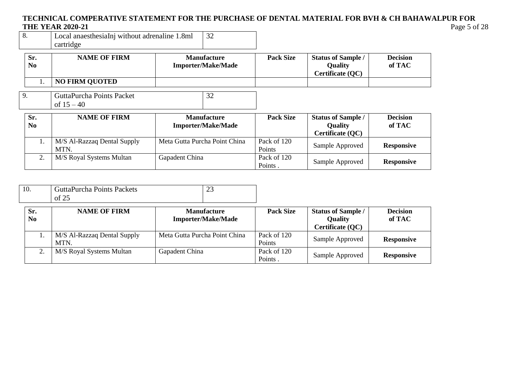| 8. | Local anaesthesiaInj without adrenaline 1.8ml |  |
|----|-----------------------------------------------|--|
|    | cartridge                                     |  |

10. GuttaPurcha Points Packets

| Sr.<br>No.            | <b>NAME OF FIRM</b>                       | <b>Manufacture</b><br><b>Importer/Make/Made</b> | <b>Pack Size</b>       | <b>Status of Sample /</b><br><b>Quality</b><br>Certificate (QC) | <b>Decision</b><br>of TAC |
|-----------------------|-------------------------------------------|-------------------------------------------------|------------------------|-----------------------------------------------------------------|---------------------------|
| 1.                    | <b>NO FIRM QUOTED</b>                     |                                                 |                        |                                                                 |                           |
| 9.                    | GuttaPurcha Points Packet<br>of $15 - 40$ | 32                                              |                        |                                                                 |                           |
| Sr.<br>N <sub>0</sub> | <b>NAME OF FIRM</b>                       | <b>Manufacture</b><br><b>Importer/Make/Made</b> | <b>Pack Size</b>       | <b>Status of Sample /</b><br><b>Quality</b><br>Certificate (QC) | <b>Decision</b><br>of TAC |
| 1.                    | M/S Al-Razzaq Dental Supply<br>MTN.       | Meta Gutta Purcha Point China                   | Pack of 120<br>Points  | Sample Approved                                                 | <b>Responsive</b>         |
| 2.                    | M/S Royal Systems Multan                  | Gapadent China                                  | Pack of 120<br>Points. | Sample Approved                                                 | <b>Responsive</b>         |

|                       | of 25                               |                                                 |                        |                                                                 |                           |
|-----------------------|-------------------------------------|-------------------------------------------------|------------------------|-----------------------------------------------------------------|---------------------------|
| Sr.<br>N <sub>0</sub> | <b>NAME OF FIRM</b>                 | <b>Manufacture</b><br><b>Importer/Make/Made</b> | <b>Pack Size</b>       | <b>Status of Sample /</b><br><b>Quality</b><br>Certificate (QC) | <b>Decision</b><br>of TAC |
|                       | M/S Al-Razzaq Dental Supply<br>MTN. | Meta Gutta Purcha Point China                   | Pack of 120<br>Points  | Sample Approved                                                 | <b>Responsive</b>         |
| 2.                    | M/S Royal Systems Multan            | Gapadent China                                  | Pack of 120<br>Points. | Sample Approved                                                 | <b>Responsive</b>         |

23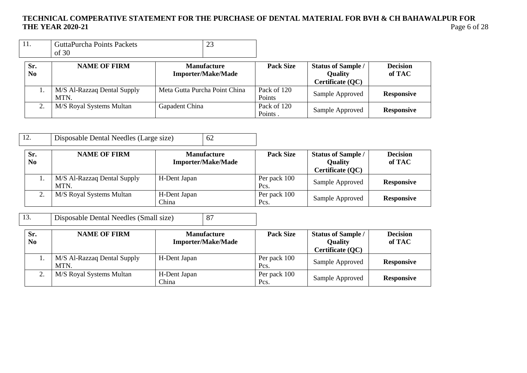|  | <b>GuttaPurcha Points Packets</b><br>of 30 | ر ت |  |
|--|--------------------------------------------|-----|--|
|--|--------------------------------------------|-----|--|

| Sr.<br>No | <b>NAME OF FIRM</b><br><b>Manufacture</b><br><b>Importer/Make/Made</b> |                               | <b>Pack Size</b>                         | <b>Status of Sample /</b><br><b>Quality</b><br>Certificate (QC) | <b>Decision</b><br>of TAC |
|-----------|------------------------------------------------------------------------|-------------------------------|------------------------------------------|-----------------------------------------------------------------|---------------------------|
|           | M/S Al-Razzaq Dental Supply<br>MTN.                                    | Meta Gutta Purcha Point China | Pack of 120<br>Sample Approved<br>Points |                                                                 | <b>Responsive</b>         |
| ٠.        | M/S Royal Systems Multan                                               | Gapadent China                | Pack of 120<br>Points.                   | Sample Approved                                                 | <b>Responsive</b>         |

| 12.                   | Disposable Dental Needles (Large size) | 62                                              |                      |                                                                 |                           |
|-----------------------|----------------------------------------|-------------------------------------------------|----------------------|-----------------------------------------------------------------|---------------------------|
| Sr.<br>N <sub>0</sub> | <b>NAME OF FIRM</b>                    | <b>Manufacture</b><br><b>Importer/Make/Made</b> | <b>Pack Size</b>     | <b>Status of Sample /</b><br><b>Quality</b><br>Certificate (QC) | <b>Decision</b><br>of TAC |
|                       | M/S Al-Razzaq Dental Supply<br>MTN.    | H-Dent Japan                                    | Per pack 100<br>Pcs. | Sample Approved                                                 | <b>Responsive</b>         |
| 2.                    | M/S Royal Systems Multan               | H-Dent Japan<br>China                           | Per pack 100<br>Pcs. | Sample Approved                                                 | <b>Responsive</b>         |

| 13.                   | Disposable Dental Needles (Small size) |                       | 87                                              |                      |                                                                 |                           |
|-----------------------|----------------------------------------|-----------------------|-------------------------------------------------|----------------------|-----------------------------------------------------------------|---------------------------|
| Sr.<br>N <sub>0</sub> | <b>NAME OF FIRM</b>                    |                       | <b>Manufacture</b><br><b>Importer/Make/Made</b> | <b>Pack Size</b>     | <b>Status of Sample /</b><br><b>Quality</b><br>Certificate (QC) | <b>Decision</b><br>of TAC |
| 1.                    | M/S Al-Razzaq Dental Supply<br>MTN.    | H-Dent Japan          |                                                 | Per pack 100<br>Pcs. | Sample Approved                                                 | <b>Responsive</b>         |
| 2.                    | M/S Royal Systems Multan               | H-Dent Japan<br>China |                                                 | Per pack 100<br>Pcs. | Sample Approved                                                 | <b>Responsive</b>         |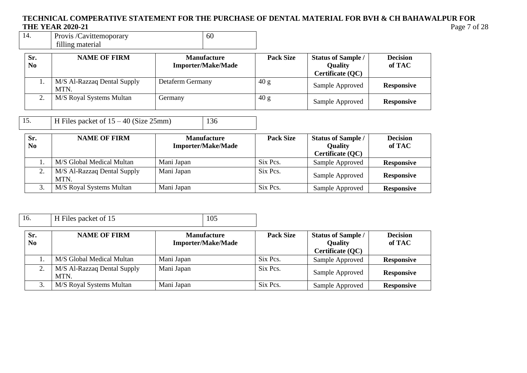| Provis /Cavittemoporary | -60 |
|-------------------------|-----|
| filling material        |     |

| Sr.<br>No | <b>NAME OF FIRM</b>                 | <b>Manufacture</b><br><b>Importer/Make/Made</b> | <b>Pack Size</b> | <b>Status of Sample /</b><br><b>Quality</b><br>Certificate (QC) | <b>Decision</b><br>of TAC |
|-----------|-------------------------------------|-------------------------------------------------|------------------|-----------------------------------------------------------------|---------------------------|
|           | M/S Al-Razzaq Dental Supply<br>MTN. | Detaferm Germany                                | 40 g             | Sample Approved                                                 | <b>Responsive</b>         |
| ٠.        | M/S Royal Systems Multan            | Germany                                         | 40 g             | Sample Approved                                                 | <b>Responsive</b>         |

15. **H** Files packet of  $15 - 40$  (Size 25mm) 136

| Sr.<br>N <sub>0</sub> | <b>NAME OF FIRM</b>                 | <b>Manufacture</b><br><b>Importer/Make/Made</b> | <b>Pack Size</b> | <b>Status of Sample /</b><br><b>Quality</b><br>Certificate (QC) | <b>Decision</b><br>of TAC |
|-----------------------|-------------------------------------|-------------------------------------------------|------------------|-----------------------------------------------------------------|---------------------------|
|                       | M/S Global Medical Multan           | Mani Japan                                      | Six Pcs.         | Sample Approved                                                 | <b>Responsive</b>         |
|                       | M/S Al-Razzaq Dental Supply<br>MTN. | Mani Japan                                      | Six Pcs.         | Sample Approved                                                 | <b>Responsive</b>         |
|                       | M/S Royal Systems Multan            | Mani Japan                                      | Six Pcs.         | Sample Approved                                                 | <b>Responsive</b>         |

| 16.                   | H Files packet of 15                | 105                                             |                  |                                                                        |                           |
|-----------------------|-------------------------------------|-------------------------------------------------|------------------|------------------------------------------------------------------------|---------------------------|
| Sr.<br>N <sub>0</sub> | <b>NAME OF FIRM</b>                 | <b>Manufacture</b><br><b>Importer/Make/Made</b> | <b>Pack Size</b> | <b>Status of Sample /</b><br><b>Quality</b><br><b>Certificate (QC)</b> | <b>Decision</b><br>of TAC |
|                       | M/S Global Medical Multan           | Mani Japan                                      | Six Pcs.         | Sample Approved                                                        | <b>Responsive</b>         |
| 2.                    | M/S Al-Razzaq Dental Supply<br>MTN. | Mani Japan                                      | Six Pcs.         | Sample Approved                                                        | <b>Responsive</b>         |
|                       | M/S Royal Systems Multan            | Mani Japan                                      | Six Pcs.         | Sample Approved                                                        | <b>Responsive</b>         |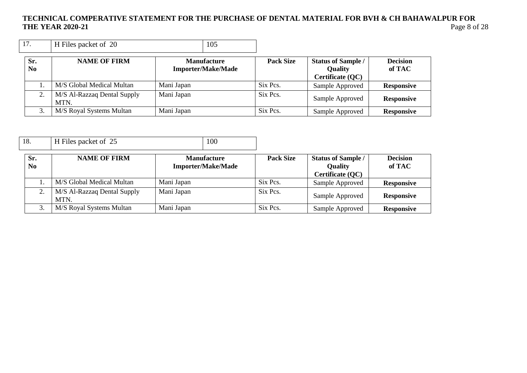| 17.                   | H Files packet of 20                | 105                                             |                  |                                                                 |                           |
|-----------------------|-------------------------------------|-------------------------------------------------|------------------|-----------------------------------------------------------------|---------------------------|
| Sr.<br>N <sub>0</sub> | <b>NAME OF FIRM</b>                 | <b>Manufacture</b><br><b>Importer/Make/Made</b> | <b>Pack Size</b> | <b>Status of Sample /</b><br><b>Quality</b><br>Certificate (QC) | <b>Decision</b><br>of TAC |
|                       | M/S Global Medical Multan           | Mani Japan                                      | Six Pcs.         | Sample Approved                                                 | <b>Responsive</b>         |
|                       | M/S Al-Razzaq Dental Supply<br>MTN. | Mani Japan                                      | Six Pcs.         | Sample Approved                                                 | <b>Responsive</b>         |
|                       | M/S Royal Systems Multan            | Mani Japan                                      | Six Pcs.         | Sample Approved                                                 | <b>Responsive</b>         |

| 18.                   | H Files packet of 25                | 100                                             |                  |                                                                 |                           |
|-----------------------|-------------------------------------|-------------------------------------------------|------------------|-----------------------------------------------------------------|---------------------------|
| Sr.<br>N <sub>0</sub> | <b>NAME OF FIRM</b>                 | <b>Manufacture</b><br><b>Importer/Make/Made</b> | <b>Pack Size</b> | <b>Status of Sample /</b><br><b>Quality</b><br>Certificate (QC) | <b>Decision</b><br>of TAC |
|                       | M/S Global Medical Multan           | Mani Japan                                      | Six Pcs.         | Sample Approved                                                 | <b>Responsive</b>         |
| 2.                    | M/S Al-Razzaq Dental Supply<br>MTN. | Mani Japan                                      | Six Pcs.         | Sample Approved                                                 | <b>Responsive</b>         |
| 3.                    | M/S Royal Systems Multan            | Mani Japan                                      | Six Pcs.         | Sample Approved                                                 | <b>Responsive</b>         |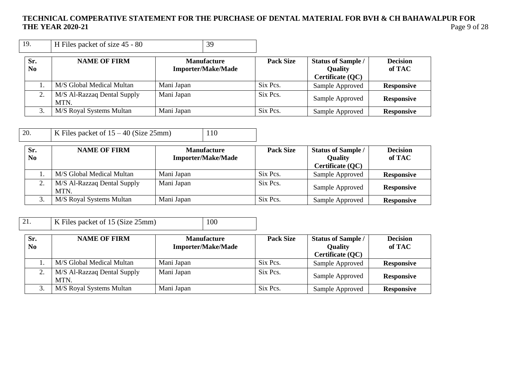| 19.                   | H Files packet of size 45 - 80      | 39                                              |                  |                                                                 |                           |
|-----------------------|-------------------------------------|-------------------------------------------------|------------------|-----------------------------------------------------------------|---------------------------|
| Sr.<br>N <sub>0</sub> | <b>NAME OF FIRM</b>                 | <b>Manufacture</b><br><b>Importer/Make/Made</b> | <b>Pack Size</b> | <b>Status of Sample /</b><br><b>Quality</b><br>Certificate (QC) | <b>Decision</b><br>of TAC |
|                       | M/S Global Medical Multan           | Mani Japan                                      | Six Pcs.         | Sample Approved                                                 | <b>Responsive</b>         |
| 2.                    | M/S Al-Razzaq Dental Supply<br>MTN. | Mani Japan                                      | Six Pcs.         | Sample Approved                                                 | <b>Responsive</b>         |
|                       | M/S Royal Systems Multan            | Mani Japan                                      | Six Pcs.         | Sample Approved                                                 | <b>Responsive</b>         |

20. K Files packet of  $15 - 40$  (Size 25mm) 110

| Sr.<br>N <sub>0</sub> | <b>NAME OF FIRM</b>                 | <b>Manufacture</b><br><b>Importer/Make/Made</b> | <b>Pack Size</b> | <b>Status of Sample /</b><br><b>Quality</b> | <b>Decision</b><br>of TAC |
|-----------------------|-------------------------------------|-------------------------------------------------|------------------|---------------------------------------------|---------------------------|
|                       | M/S Global Medical Multan           | Mani Japan                                      | Six Pcs.         | Certificate (QC)<br>Sample Approved         | <b>Responsive</b>         |
| $\gamma$              | M/S Al-Razzaq Dental Supply<br>MTN. | Mani Japan                                      | Six Pcs.         | Sample Approved                             | <b>Responsive</b>         |
|                       | M/S Royal Systems Multan            | Mani Japan                                      | Six Pcs.         | Sample Approved                             | <b>Responsive</b>         |

| $\bigcap$ 1 | K Files packet of 15 (Size 25mm) | $\mid$ 100 |
|-------------|----------------------------------|------------|
|             |                                  |            |

| Sr.<br>N <sub>0</sub> | <b>NAME OF FIRM</b>                 | <b>Manufacture</b><br><b>Importer/Make/Made</b> | <b>Pack Size</b> | <b>Status of Sample /</b><br><b>Quality</b><br>Certificate (QC) | <b>Decision</b><br>of TAC |
|-----------------------|-------------------------------------|-------------------------------------------------|------------------|-----------------------------------------------------------------|---------------------------|
|                       | M/S Global Medical Multan           | Mani Japan                                      | Six Pcs.         | Sample Approved                                                 | <b>Responsive</b>         |
| 2.                    | M/S Al-Razzaq Dental Supply<br>MTN. | Mani Japan                                      | Six Pcs.         | Sample Approved                                                 | <b>Responsive</b>         |
|                       | M/S Royal Systems Multan            | Mani Japan                                      | Six Pcs.         | Sample Approved                                                 | <b>Responsive</b>         |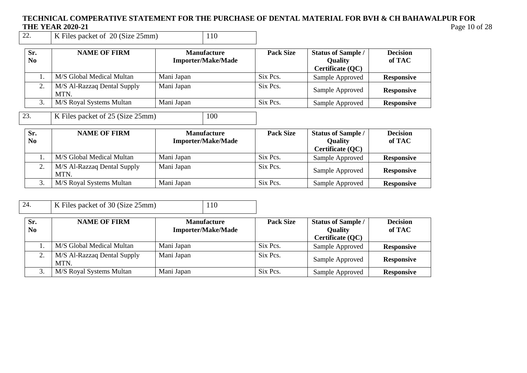# **TECHNICAL COMPERATIVE STATEMENT FOR THE PURCHASE OF DENTAL MATERIAL FOR BVH & CH BAHAWALPUR FOR THE YEAR 2020-21**<br>22. **K** Files packet of 20 (Size 25mm) 110

K Files packet of 20 (Size 25mm)

| Sr.<br>No. | <b>NAME OF FIRM</b>                 | <b>Manufacture</b><br><b>Importer/Make/Made</b> | <b>Pack Size</b> | <b>Status of Sample /</b><br><b>Quality</b><br>Certificate (QC) | <b>Decision</b><br>of TAC |
|------------|-------------------------------------|-------------------------------------------------|------------------|-----------------------------------------------------------------|---------------------------|
|            | M/S Global Medical Multan           | Mani Japan                                      | Six Pcs.         | Sample Approved                                                 | <b>Responsive</b>         |
|            | M/S Al-Razzaq Dental Supply<br>MTN. | Mani Japan                                      | Six Pcs.         | Sample Approved                                                 | <b>Responsive</b>         |
|            | M/S Royal Systems Multan            | Mani Japan                                      | Six Pcs.         | Sample Approved                                                 | <b>Responsive</b>         |

23. K Files packet of 25 (Size 25mm) 100

| Sr.<br>N <sub>0</sub> | <b>NAME OF FIRM</b>                 | <b>Manufacture</b><br><b>Importer/Make/Made</b> | <b>Pack Size</b> | <b>Status of Sample /</b><br><b>Quality</b> | <b>Decision</b><br>of TAC |
|-----------------------|-------------------------------------|-------------------------------------------------|------------------|---------------------------------------------|---------------------------|
|                       |                                     |                                                 |                  | Certificate (QC)                            |                           |
|                       | M/S Global Medical Multan           | Mani Japan                                      | Six Pcs.         | Sample Approved                             | <b>Responsive</b>         |
|                       | M/S Al-Razzaq Dental Supply<br>MTN. | Mani Japan                                      | Six Pcs.         | Sample Approved                             | <b>Responsive</b>         |
|                       | M/S Royal Systems Multan            | Mani Japan                                      | Six Pcs.         | Sample Approved                             | <b>Responsive</b>         |

| 24.                   | K Files packet of 30 (Size 25mm)    | 110                                             |                  |                                                                 |                           |
|-----------------------|-------------------------------------|-------------------------------------------------|------------------|-----------------------------------------------------------------|---------------------------|
| Sr.<br>N <sub>0</sub> | <b>NAME OF FIRM</b>                 | <b>Manufacture</b><br><b>Importer/Make/Made</b> | <b>Pack Size</b> | <b>Status of Sample /</b><br><b>Quality</b><br>Certificate (QC) | <b>Decision</b><br>of TAC |
|                       | M/S Global Medical Multan           | Mani Japan                                      | Six Pcs.         | Sample Approved                                                 | <b>Responsive</b>         |
|                       | M/S Al-Razzaq Dental Supply<br>MTN. | Mani Japan                                      | Six Pcs.         | Sample Approved                                                 | <b>Responsive</b>         |
|                       | M/S Royal Systems Multan            | Mani Japan                                      | Six Pcs.         | Sample Approved                                                 | <b>Responsive</b>         |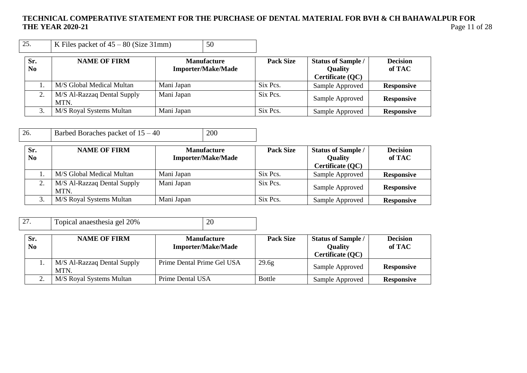| 25.                   | K Files packet of $45 - 80$ (Size 31mm) |            | 50                                              |                  |                                                                 |                           |
|-----------------------|-----------------------------------------|------------|-------------------------------------------------|------------------|-----------------------------------------------------------------|---------------------------|
| Sr.<br>N <sub>0</sub> | <b>NAME OF FIRM</b>                     |            | <b>Manufacture</b><br><b>Importer/Make/Made</b> | <b>Pack Size</b> | <b>Status of Sample /</b><br><b>Quality</b><br>Certificate (QC) | <b>Decision</b><br>of TAC |
|                       | M/S Global Medical Multan               | Mani Japan |                                                 | Six Pcs.         | Sample Approved                                                 | <b>Responsive</b>         |
| 2.                    | M/S Al-Razzaq Dental Supply<br>MTN.     | Mani Japan |                                                 | Six Pcs.         | Sample Approved                                                 | <b>Responsive</b>         |
|                       | M/S Royal Systems Multan                | Mani Japan |                                                 | Six Pcs.         | Sample Approved                                                 | <b>Responsive</b>         |

26. Barbed Boraches packet of  $15 - 40$  200

| Sr.<br>N <sub>0</sub> | <b>NAME OF FIRM</b>                 | <b>Manufacture</b><br><b>Importer/Make/Made</b> | <b>Pack Size</b> | <b>Status of Sample /</b><br><b>Quality</b> | <b>Decision</b><br>of TAC |
|-----------------------|-------------------------------------|-------------------------------------------------|------------------|---------------------------------------------|---------------------------|
|                       | M/S Global Medical Multan           | Mani Japan                                      | Six Pcs.         | Certificate (QC)<br>Sample Approved         | <b>Responsive</b>         |
|                       | M/S Al-Razzaq Dental Supply<br>MTN. | Mani Japan                                      | Six Pcs.         | Sample Approved                             | <b>Responsive</b>         |
|                       | M/S Royal Systems Multan            | Mani Japan                                      | Six Pcs.         | Sample Approved                             | <b>Responsive</b>         |

| 27.                   | Topical anaesthesia gel 20%         | 20                                              |                  |                                                                 |                           |
|-----------------------|-------------------------------------|-------------------------------------------------|------------------|-----------------------------------------------------------------|---------------------------|
| Sr.<br>N <sub>0</sub> | <b>NAME OF FIRM</b>                 | <b>Manufacture</b><br><b>Importer/Make/Made</b> | <b>Pack Size</b> | <b>Status of Sample /</b><br><b>Quality</b><br>Certificate (QC) | <b>Decision</b><br>of TAC |
|                       | M/S Al-Razzaq Dental Supply<br>MTN. | Prime Dental Prime Gel USA                      | 29.6g            | Sample Approved                                                 | <b>Responsive</b>         |
|                       | M/S Royal Systems Multan            | Prime Dental USA                                | <b>Bottle</b>    | Sample Approved                                                 | <b>Responsive</b>         |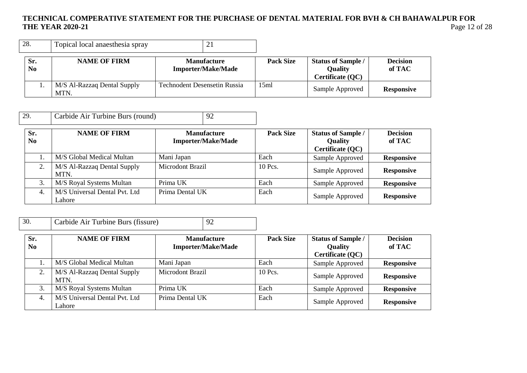| 28.                   | Topical local anaesthesia spray     | 21                                              |                  |                                                                 |                           |
|-----------------------|-------------------------------------|-------------------------------------------------|------------------|-----------------------------------------------------------------|---------------------------|
| Sr.<br>N <sub>0</sub> | <b>NAME OF FIRM</b>                 | <b>Manufacture</b><br><b>Importer/Make/Made</b> | <b>Pack Size</b> | <b>Status of Sample /</b><br><b>Quality</b><br>Certificate (QC) | <b>Decision</b><br>of TAC |
|                       | M/S Al-Razzaq Dental Supply<br>MTN. | <b>Technodent Desensetin Russia</b>             | 15ml             | Sample Approved                                                 | <b>Responsive</b>         |

| 29.                   | Carbide Air Turbine Burs (round)          | 92                                              |                  |                                                                 |                           |
|-----------------------|-------------------------------------------|-------------------------------------------------|------------------|-----------------------------------------------------------------|---------------------------|
| Sr.<br>N <sub>0</sub> | <b>NAME OF FIRM</b>                       | <b>Manufacture</b><br><b>Importer/Make/Made</b> | <b>Pack Size</b> | <b>Status of Sample /</b><br><b>Quality</b><br>Certificate (QC) | <b>Decision</b><br>of TAC |
|                       | M/S Global Medical Multan                 | Mani Japan                                      | Each             | Sample Approved                                                 | <b>Responsive</b>         |
| 2.                    | M/S Al-Razzaq Dental Supply<br><b>MTN</b> | Microdont Brazil                                | 10 Pcs.          | Sample Approved                                                 | <b>Responsive</b>         |

|  | .<br><b>MTN</b>                         |                 |      | Sample Approved | Responsive        |
|--|-----------------------------------------|-----------------|------|-----------------|-------------------|
|  | M/S Royal Systems Multan                | Prima UK        | Each | Sample Approved | <b>Responsive</b> |
|  | M/S Universal Dental Pvt. Ltd<br>Lahore | Prima Dental UK | Each | Sample Approved | <b>Responsive</b> |

| 30.                   | Carbide Air Turbine Burs (fissure)      | 92                                              |                  |                                                                 |                           |
|-----------------------|-----------------------------------------|-------------------------------------------------|------------------|-----------------------------------------------------------------|---------------------------|
| Sr.<br>N <sub>0</sub> | <b>NAME OF FIRM</b>                     | <b>Manufacture</b><br><b>Importer/Make/Made</b> | <b>Pack Size</b> | <b>Status of Sample /</b><br><b>Quality</b><br>Certificate (QC) | <b>Decision</b><br>of TAC |
|                       | M/S Global Medical Multan               | Mani Japan                                      | Each             | Sample Approved                                                 | <b>Responsive</b>         |
| 2.                    | M/S Al-Razzaq Dental Supply<br>MTN.     | Microdont Brazil                                | 10 Pcs.          | Sample Approved                                                 | <b>Responsive</b>         |
| 3.                    | M/S Royal Systems Multan                | Prima UK                                        | Each             | Sample Approved                                                 | <b>Responsive</b>         |
| 4.                    | M/S Universal Dental Pvt. Ltd<br>Lahore | Prima Dental UK                                 | Each             | Sample Approved                                                 | <b>Responsive</b>         |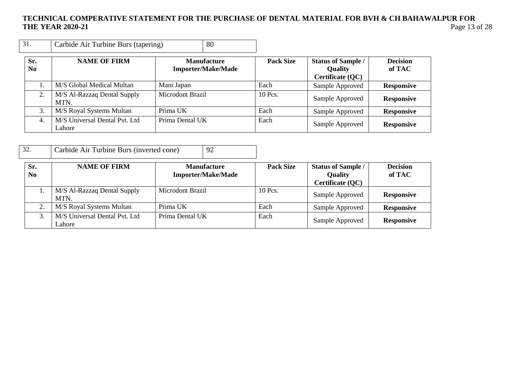| 31.                   | Carbide Air Turbine Burs (tapering)     | 80                                              |                  |                                                                 |                           |
|-----------------------|-----------------------------------------|-------------------------------------------------|------------------|-----------------------------------------------------------------|---------------------------|
| Sr.<br>N <sub>0</sub> | <b>NAME OF FIRM</b>                     | <b>Manufacture</b><br><b>Importer/Make/Made</b> | <b>Pack Size</b> | <b>Status of Sample /</b><br><b>Quality</b><br>Certificate (QC) | <b>Decision</b><br>of TAC |
|                       | M/S Global Medical Multan               | Mani Japan                                      | Each             | Sample Approved                                                 | <b>Responsive</b>         |
| 2.                    | M/S Al-Razzaq Dental Supply<br>MTN.     | Microdont Brazil                                | 10 Pcs.          | Sample Approved                                                 | <b>Responsive</b>         |
| 3.                    | M/S Royal Systems Multan                | Prima UK                                        | Each             | Sample Approved                                                 | <b>Responsive</b>         |
| 4.                    | M/S Universal Dental Pvt. Ltd<br>Lahore | Prima Dental UK                                 | Each             | Sample Approved                                                 | <b>Responsive</b>         |

| 32. | Carbide Air Turbine Burs (inverted cone) | $\vert$ 92 |
|-----|------------------------------------------|------------|
|-----|------------------------------------------|------------|

| Sr.<br>N <sub>0</sub> | <b>NAME OF FIRM</b>                     | <b>Manufacture</b><br><b>Importer/Make/Made</b> | <b>Pack Size</b> | <b>Status of Sample /</b><br><b>Quality</b><br>Certificate (QC) | <b>Decision</b><br>of TAC |
|-----------------------|-----------------------------------------|-------------------------------------------------|------------------|-----------------------------------------------------------------|---------------------------|
|                       | M/S Al-Razzaq Dental Supply<br>MTN.     | Microdont Brazil                                | 10 Pcs.          | Sample Approved                                                 | <b>Responsive</b>         |
|                       | M/S Royal Systems Multan                | Prima UK                                        | Each             | Sample Approved                                                 | <b>Responsive</b>         |
|                       | M/S Universal Dental Pvt. Ltd<br>Lahore | Prima Dental UK                                 | Each             | Sample Approved                                                 | <b>Responsive</b>         |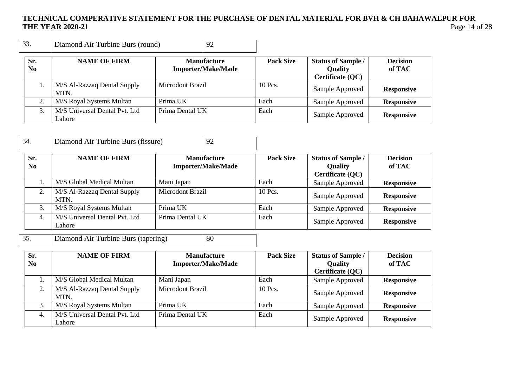| 33.                   | Diamond Air Turbine Burs (round)        | 92                                              |                  |                                                                 |                           |
|-----------------------|-----------------------------------------|-------------------------------------------------|------------------|-----------------------------------------------------------------|---------------------------|
| Sr.<br>N <sub>0</sub> | <b>NAME OF FIRM</b>                     | <b>Manufacture</b><br><b>Importer/Make/Made</b> | <b>Pack Size</b> | <b>Status of Sample /</b><br><b>Quality</b><br>Certificate (QC) | <b>Decision</b><br>of TAC |
|                       | M/S Al-Razzaq Dental Supply<br>MTN.     | Microdont Brazil                                | 10 Pcs.          | Sample Approved                                                 | <b>Responsive</b>         |
| 2.                    | M/S Royal Systems Multan                | Prima UK                                        | Each             | Sample Approved                                                 | <b>Responsive</b>         |
| 3.                    | M/S Universal Dental Pvt. Ltd<br>Lahore | Prima Dental UK                                 | Each             | Sample Approved                                                 | <b>Responsive</b>         |

| 34.       | Diamond Air Turbine Burs (fissure)      | 92                                              |                  |                                                                 |                           |
|-----------|-----------------------------------------|-------------------------------------------------|------------------|-----------------------------------------------------------------|---------------------------|
| Sr.<br>No | <b>NAME OF FIRM</b>                     | <b>Manufacture</b><br><b>Importer/Make/Made</b> | <b>Pack Size</b> | <b>Status of Sample /</b><br><b>Quality</b><br>Certificate (QC) | <b>Decision</b><br>of TAC |
|           | M/S Global Medical Multan               | Mani Japan                                      | Each             | Sample Approved                                                 | <b>Responsive</b>         |
| 2.        | M/S Al-Razzaq Dental Supply<br>MTN.     | Microdont Brazil                                | 10 Pcs.          | Sample Approved                                                 | <b>Responsive</b>         |
| 3.        | M/S Royal Systems Multan                | Prima UK                                        | Each             | Sample Approved                                                 | <b>Responsive</b>         |
| 4.        | M/S Universal Dental Pvt. Ltd<br>Lahore | Prima Dental UK                                 | Each             | Sample Approved                                                 | <b>Responsive</b>         |

35. Diamond Air Turbine Burs (tapering) 80

| Sr.<br>N <sub>0</sub> | <b>NAME OF FIRM</b>                     | <b>Manufacture</b><br><b>Importer/Make/Made</b> | <b>Pack Size</b> | <b>Status of Sample /</b><br><b>Quality</b> | <b>Decision</b><br>of TAC |
|-----------------------|-----------------------------------------|-------------------------------------------------|------------------|---------------------------------------------|---------------------------|
|                       |                                         |                                                 |                  | Certificate (QC)                            |                           |
|                       | M/S Global Medical Multan               | Mani Japan                                      | Each             | Sample Approved                             | <b>Responsive</b>         |
|                       | M/S Al-Razzaq Dental Supply<br>MTN.     | <b>Microdont Brazil</b>                         | 10 Pcs.          | Sample Approved                             | <b>Responsive</b>         |
| 3.                    | M/S Royal Systems Multan                | Prima UK                                        | Each             | Sample Approved                             | <b>Responsive</b>         |
| 4.                    | M/S Universal Dental Pvt. Ltd<br>Lahore | Prima Dental UK                                 | Each             | Sample Approved                             | <b>Responsive</b>         |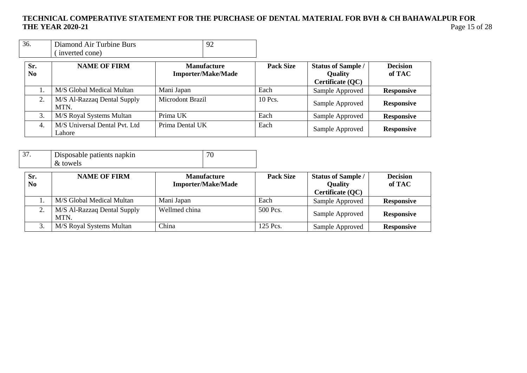| 36. | Diamond Air Turbine Burs |  |
|-----|--------------------------|--|
|     | (inverted cone)          |  |

| Sr.<br>No. | <b>NAME OF FIRM</b>                     | <b>Manufacture</b><br><b>Importer/Make/Made</b> | <b>Pack Size</b> | <b>Status of Sample /</b><br><b>Quality</b><br>Certificate (QC) | <b>Decision</b><br>of TAC |
|------------|-----------------------------------------|-------------------------------------------------|------------------|-----------------------------------------------------------------|---------------------------|
|            | M/S Global Medical Multan               | Mani Japan                                      | Each             | Sample Approved                                                 | <b>Responsive</b>         |
|            | M/S Al-Razzaq Dental Supply<br>MTN.     | Microdont Brazil                                | 10 Pcs.          | Sample Approved                                                 | <b>Responsive</b>         |
| 3.         | M/S Royal Systems Multan                | Prima UK                                        | Each             | Sample Approved                                                 | <b>Responsive</b>         |
| 4.         | M/S Universal Dental Pvt. Ltd<br>Lahore | Prima Dental UK                                 | Each             | Sample Approved                                                 | <b>Responsive</b>         |

|  | Disposable patients napkin<br>& towels | $\overline{\phantom{a}}$ |
|--|----------------------------------------|--------------------------|
|--|----------------------------------------|--------------------------|

| Sr.<br>N <sub>0</sub> | <b>NAME OF FIRM</b>                 | <b>Manufacture</b><br><b>Importer/Make/Made</b> | <b>Pack Size</b> | <b>Status of Sample /</b><br><b>Quality</b> | <b>Decision</b><br>of TAC |
|-----------------------|-------------------------------------|-------------------------------------------------|------------------|---------------------------------------------|---------------------------|
|                       |                                     |                                                 |                  | Certificate (QC)                            |                           |
|                       | M/S Global Medical Multan           | Mani Japan                                      | Each             | Sample Approved                             | <b>Responsive</b>         |
|                       | M/S Al-Razzaq Dental Supply<br>MTN. | Wellmed china                                   | 500 Pcs.         | Sample Approved                             | <b>Responsive</b>         |
| J.                    | M/S Royal Systems Multan            | China                                           | 125 Pcs.         | Sample Approved                             | <b>Responsive</b>         |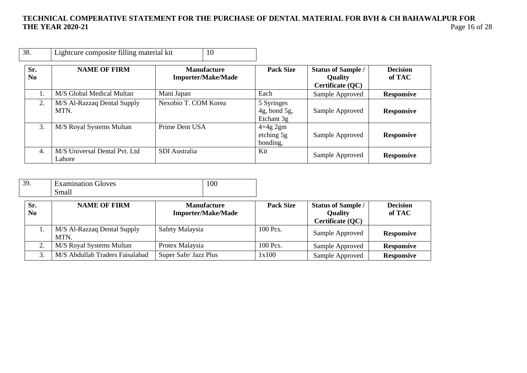| 38.                   | Lightcure composite filling material kit | 10                                              |                                             |                                                                 |                           |
|-----------------------|------------------------------------------|-------------------------------------------------|---------------------------------------------|-----------------------------------------------------------------|---------------------------|
| Sr.<br>N <sub>0</sub> | <b>NAME OF FIRM</b>                      | <b>Manufacture</b><br><b>Importer/Make/Made</b> | <b>Pack Size</b>                            | <b>Status of Sample /</b><br><b>Quality</b><br>Certificate (QC) | <b>Decision</b><br>of TAC |
|                       | M/S Global Medical Multan                | Mani Japan                                      | Each                                        | Sample Approved                                                 | <b>Responsive</b>         |
| 2.                    | M/S Al-Razzaq Dental Supply<br>MTN.      | Nexobio T. COM Korea                            | 5 Syringes<br>$4g$ , bond 5g,<br>Etchant 3g | Sample Approved                                                 | <b>Responsive</b>         |
| 3.                    | M/S Royal Systems Multan                 | Prime Dent USA                                  | $4+4g$ 2gm<br>etching 5g<br>bonding,        | Sample Approved                                                 | <b>Responsive</b>         |
| 4.                    | M/S Universal Dental Pvt. Ltd<br>Lahore  | <b>SDI</b> Australia                            | Kit                                         | Sample Approved                                                 | <b>Responsive</b>         |

| 2C<br>J., | <b>Examination Gloves</b> | 100 |
|-----------|---------------------------|-----|
|           | Small                     |     |

| Sr.            | <b>NAME OF FIRM</b>                 | <b>Manufacture</b>        | <b>Pack Size</b> | <b>Status of Sample /</b> | <b>Decision</b>   |
|----------------|-------------------------------------|---------------------------|------------------|---------------------------|-------------------|
| N <sub>0</sub> |                                     | <b>Importer/Make/Made</b> |                  | <b>Quality</b>            | of TAC            |
|                |                                     |                           |                  | Certificate (QC)          |                   |
|                | M/S Al-Razzaq Dental Supply<br>MTN. | Safety Malaysia           | 100 Pcs.         | Sample Approved           | <b>Responsive</b> |
|                | M/S Royal Systems Multan            | Protex Malaysia           | 100 Pcs.         | Sample Approved           | <b>Responsive</b> |
|                | M/S Abdullah Traders Faisalabad     | Super Safe/ Jazz Plus     | 1x100            | Sample Approved           | <b>Responsive</b> |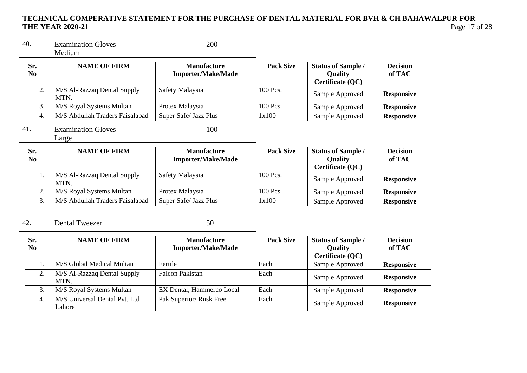| 40.                   | <b>Examination Gloves</b><br>Medium | 200                                             |                  |                                                                 |                           |
|-----------------------|-------------------------------------|-------------------------------------------------|------------------|-----------------------------------------------------------------|---------------------------|
| Sr.<br>N <sub>0</sub> | <b>NAME OF FIRM</b>                 | <b>Manufacture</b><br><b>Importer/Make/Made</b> | <b>Pack Size</b> | <b>Status of Sample /</b><br><b>Quality</b><br>Certificate (QC) | <b>Decision</b><br>of TAC |
| 2.                    | M/S Al-Razzaq Dental Supply<br>MTN. | Safety Malaysia                                 | 100 Pcs.         | Sample Approved                                                 | <b>Responsive</b>         |
| 3.                    | M/S Royal Systems Multan            | Protex Malaysia                                 | 100 Pcs.         | Sample Approved                                                 | <b>Responsive</b>         |
| 4.                    | M/S Abdullah Traders Faisalabad     | Super Safe/ Jazz Plus                           | 1x100            | Sample Approved                                                 | <b>Responsive</b>         |
| 41.                   | <b>Examination Gloves</b><br>Large  | 100                                             |                  |                                                                 |                           |
| Sr.<br>N <sub>0</sub> | <b>NAME OF FIRM</b>                 | <b>Manufacture</b><br><b>Importer/Make/Made</b> | <b>Pack Size</b> | <b>Status of Sample /</b><br><b>Quality</b><br>Certificate (QC) | <b>Decision</b><br>of TAC |
| 1.                    | M/S Al-Razzaq Dental Supply<br>MTN. | Safety Malaysia                                 | 100 Pcs.         | Sample Approved                                                 | <b>Responsive</b>         |
| 2.                    | M/S Royal Systems Multan            | Protex Malaysia                                 | 100 Pcs.         | Sample Approved                                                 | <b>Responsive</b>         |
| 3.                    | M/S Abdullah Traders Faisalabad     | Super Safe/ Jazz Plus                           | 1x100            | Sample Approved                                                 | <b>Responsive</b>         |

| 42.                   | Dental Tweezer                          | 50                                              |                  |                                                                 |                           |
|-----------------------|-----------------------------------------|-------------------------------------------------|------------------|-----------------------------------------------------------------|---------------------------|
| Sr.<br>N <sub>0</sub> | <b>NAME OF FIRM</b>                     | <b>Manufacture</b><br><b>Importer/Make/Made</b> | <b>Pack Size</b> | <b>Status of Sample /</b><br><b>Quality</b><br>Certificate (QC) | <b>Decision</b><br>of TAC |
|                       | M/S Global Medical Multan               | Fertile                                         | Each             | Sample Approved                                                 | <b>Responsive</b>         |
| 2.                    | M/S Al-Razzaq Dental Supply<br>MTN.     | <b>Falcon Pakistan</b>                          | Each             | Sample Approved                                                 | <b>Responsive</b>         |
| 3.                    | M/S Royal Systems Multan                | EX Dental, Hammerco Local                       | Each             | Sample Approved                                                 | <b>Responsive</b>         |
| 4.                    | M/S Universal Dental Pvt. Ltd<br>Lahore | Pak Superior/ Rusk Free                         | Each             | Sample Approved                                                 | <b>Responsive</b>         |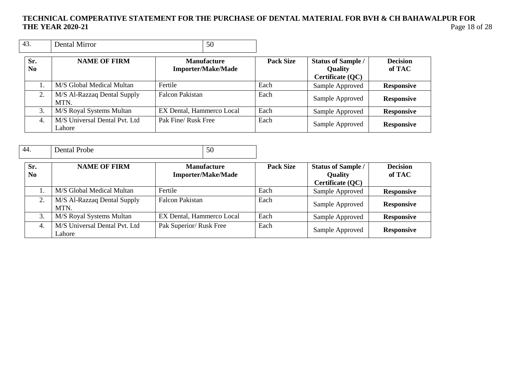| 43.                   | Dental Mirror                           | 50                                              |                  |                                                                 |                           |
|-----------------------|-----------------------------------------|-------------------------------------------------|------------------|-----------------------------------------------------------------|---------------------------|
| Sr.<br>N <sub>0</sub> | <b>NAME OF FIRM</b>                     | <b>Manufacture</b><br><b>Importer/Make/Made</b> | <b>Pack Size</b> | <b>Status of Sample /</b><br><b>Quality</b><br>Certificate (QC) | <b>Decision</b><br>of TAC |
|                       | M/S Global Medical Multan               | Fertile                                         | Each             | Sample Approved                                                 | <b>Responsive</b>         |
| 2.                    | M/S Al-Razzaq Dental Supply<br>MTN.     | <b>Falcon Pakistan</b>                          | Each             | Sample Approved                                                 | <b>Responsive</b>         |
| 3.                    | M/S Royal Systems Multan                | EX Dental, Hammerco Local                       | Each             | Sample Approved                                                 | <b>Responsive</b>         |
| 4.                    | M/S Universal Dental Pvt. Ltd<br>Lahore | Pak Fine/ Rusk Free                             | Each             | Sample Approved                                                 | <b>Responsive</b>         |

| 44.                   | Dental Probe                            | 50                                              |                  |                                                                 |                           |
|-----------------------|-----------------------------------------|-------------------------------------------------|------------------|-----------------------------------------------------------------|---------------------------|
| Sr.<br>N <sub>0</sub> | <b>NAME OF FIRM</b>                     | <b>Manufacture</b><br><b>Importer/Make/Made</b> | <b>Pack Size</b> | <b>Status of Sample /</b><br><b>Quality</b><br>Certificate (QC) | <b>Decision</b><br>of TAC |
|                       | M/S Global Medical Multan               | Fertile                                         | Each             | Sample Approved                                                 | <b>Responsive</b>         |
| 2.                    | M/S Al-Razzaq Dental Supply<br>MTN.     | <b>Falcon Pakistan</b>                          | Each             | Sample Approved                                                 | <b>Responsive</b>         |
| 3.                    | M/S Royal Systems Multan                | EX Dental, Hammerco Local                       | Each             | Sample Approved                                                 | <b>Responsive</b>         |
| 4.                    | M/S Universal Dental Pvt. Ltd<br>Lahore | Pak Superior/ Rusk Free                         | Each             | Sample Approved                                                 | <b>Responsive</b>         |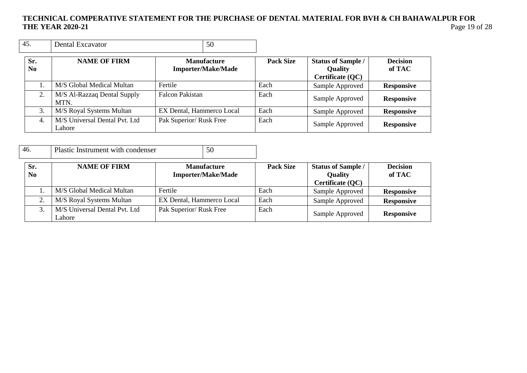| 45.                   | Dental Excavator                        | 50                                              |                  |                                                          |                           |
|-----------------------|-----------------------------------------|-------------------------------------------------|------------------|----------------------------------------------------------|---------------------------|
| Sr.<br>N <sub>0</sub> | <b>NAME OF FIRM</b>                     | <b>Manufacture</b><br><b>Importer/Make/Made</b> | <b>Pack Size</b> | <b>Status of Sample /</b><br>Quality<br>Certificate (QC) | <b>Decision</b><br>of TAC |
|                       | M/S Global Medical Multan               | Fertile                                         | Each             | Sample Approved                                          | <b>Responsive</b>         |
| 2.                    | M/S Al-Razzaq Dental Supply<br>MTN.     | <b>Falcon Pakistan</b>                          | Each             | Sample Approved                                          | <b>Responsive</b>         |
| 3.                    | M/S Royal Systems Multan                | EX Dental, Hammerco Local                       | Each             | Sample Approved                                          | <b>Responsive</b>         |
| 4.                    | M/S Universal Dental Pvt. Ltd<br>Lahore | Pak Superior/ Rusk Free                         | Each             | Sample Approved                                          | <b>Responsive</b>         |

| 46.                   | Plastic Instrument with condenser       |                           | 50                                              |                  |                                                                 |                           |
|-----------------------|-----------------------------------------|---------------------------|-------------------------------------------------|------------------|-----------------------------------------------------------------|---------------------------|
| Sr.<br>N <sub>0</sub> | <b>NAME OF FIRM</b>                     |                           | <b>Manufacture</b><br><b>Importer/Make/Made</b> | <b>Pack Size</b> | <b>Status of Sample /</b><br><b>Quality</b><br>Certificate (QC) | <b>Decision</b><br>of TAC |
|                       | M/S Global Medical Multan               | Fertile                   |                                                 | Each             | Sample Approved                                                 | <b>Responsive</b>         |
| 2.                    | M/S Royal Systems Multan                | EX Dental, Hammerco Local |                                                 | Each             | Sample Approved                                                 | <b>Responsive</b>         |
| 3.                    | M/S Universal Dental Pvt. Ltd<br>Lahore | Pak Superior/ Rusk Free   |                                                 | Each             | Sample Approved                                                 | <b>Responsive</b>         |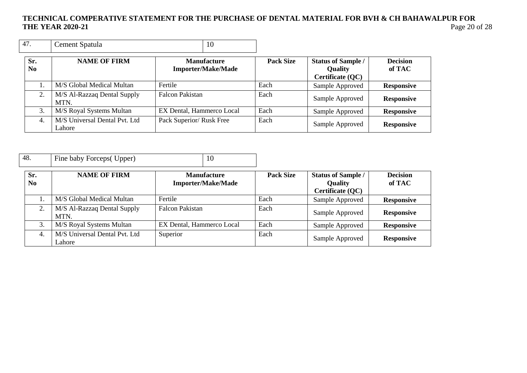| 47.                   | Cement Spatula                          | 10                                              |                  |                                                          |                           |
|-----------------------|-----------------------------------------|-------------------------------------------------|------------------|----------------------------------------------------------|---------------------------|
| Sr.<br>N <sub>0</sub> | <b>NAME OF FIRM</b>                     | <b>Manufacture</b><br><b>Importer/Make/Made</b> | <b>Pack Size</b> | <b>Status of Sample /</b><br>Quality<br>Certificate (QC) | <b>Decision</b><br>of TAC |
|                       | M/S Global Medical Multan               | Fertile                                         | Each             | Sample Approved                                          | <b>Responsive</b>         |
| 2.                    | M/S Al-Razzaq Dental Supply<br>MTN.     | <b>Falcon Pakistan</b>                          | Each             | Sample Approved                                          | <b>Responsive</b>         |
| 3.                    | M/S Royal Systems Multan                | EX Dental, Hammerco Local                       | Each             | Sample Approved                                          | <b>Responsive</b>         |
| 4.                    | M/S Universal Dental Pvt. Ltd<br>Lahore | Pack Superior/ Rusk Free                        | Each             | Sample Approved                                          | <b>Responsive</b>         |

| 48.                   | Fine baby Forceps (Upper)               | 10                                              |                  |                                                                 |                           |
|-----------------------|-----------------------------------------|-------------------------------------------------|------------------|-----------------------------------------------------------------|---------------------------|
| Sr.<br>N <sub>0</sub> | <b>NAME OF FIRM</b>                     | <b>Manufacture</b><br><b>Importer/Make/Made</b> | <b>Pack Size</b> | <b>Status of Sample /</b><br><b>Quality</b><br>Certificate (QC) | <b>Decision</b><br>of TAC |
|                       | M/S Global Medical Multan               | Fertile                                         | Each             | Sample Approved                                                 | <b>Responsive</b>         |
| 2.                    | M/S Al-Razzaq Dental Supply<br>MTN.     | <b>Falcon Pakistan</b>                          | Each             | Sample Approved                                                 | <b>Responsive</b>         |
| 3.                    | M/S Royal Systems Multan                | EX Dental, Hammerco Local                       | Each             | Sample Approved                                                 | <b>Responsive</b>         |
| 4.                    | M/S Universal Dental Pvt. Ltd<br>Lahore | Superior                                        | Each             | Sample Approved                                                 | <b>Responsive</b>         |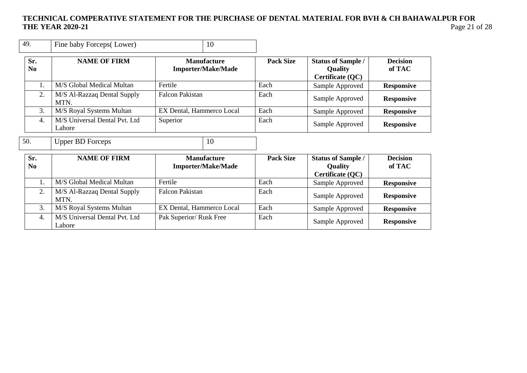| 49.                   | Fine baby Forceps(Lower)                | 10                                              |                  |                                                                 |                           |
|-----------------------|-----------------------------------------|-------------------------------------------------|------------------|-----------------------------------------------------------------|---------------------------|
| Sr.<br>N <sub>0</sub> | <b>NAME OF FIRM</b>                     | <b>Manufacture</b><br><b>Importer/Make/Made</b> | <b>Pack Size</b> | <b>Status of Sample /</b><br><b>Quality</b><br>Certificate (QC) | <b>Decision</b><br>of TAC |
| 1.                    | M/S Global Medical Multan               | Fertile                                         | Each             | Sample Approved                                                 | <b>Responsive</b>         |
| 2.                    | M/S Al-Razzaq Dental Supply<br>MTN.     | <b>Falcon Pakistan</b>                          | Each             | Sample Approved                                                 | <b>Responsive</b>         |
| 3.                    | M/S Royal Systems Multan                | EX Dental, Hammerco Local                       | Each             | Sample Approved                                                 | <b>Responsive</b>         |
| $\overline{4}$ .      | M/S Universal Dental Pvt. Ltd<br>Lahore | Superior                                        | Each             | Sample Approved                                                 | <b>Responsive</b>         |
| 50.                   | <b>Upper BD Forceps</b>                 | 10                                              |                  |                                                                 |                           |
| Sr.<br>N <sub>0</sub> | <b>NAME OF FIRM</b>                     | <b>Manufacture</b><br><b>Importer/Make/Made</b> | <b>Pack Size</b> | <b>Status of Sample /</b><br><b>Quality</b><br>Certificate (QC) | <b>Decision</b><br>of TAC |
| 1.                    | M/S Global Medical Multan               | Fertile                                         | Each             | Sample Approved                                                 | <b>Responsive</b>         |
| 2.                    | M/S Al-Razzaq Dental Supply<br>MTN.     | <b>Falcon Pakistan</b>                          | Each             | Sample Approved                                                 | <b>Responsive</b>         |
| 3.                    | M/S Royal Systems Multan                | EX Dental, Hammerco Local                       | Each             | Sample Approved                                                 | <b>Responsive</b>         |
| 4.                    | M/S Universal Dental Pvt. Ltd<br>Lahore | Pak Superior/ Rusk Free                         | Each             | Sample Approved                                                 | <b>Responsive</b>         |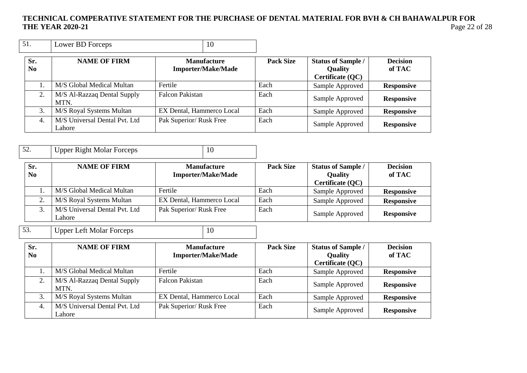| 51.                   | Lower BD Forceps                        | 10                                              |                  |                                                          |                           |
|-----------------------|-----------------------------------------|-------------------------------------------------|------------------|----------------------------------------------------------|---------------------------|
| Sr.<br>N <sub>0</sub> | <b>NAME OF FIRM</b>                     | <b>Manufacture</b><br><b>Importer/Make/Made</b> | <b>Pack Size</b> | <b>Status of Sample /</b><br>Quality<br>Certificate (QC) | <b>Decision</b><br>of TAC |
|                       | M/S Global Medical Multan               | Fertile                                         | Each             | Sample Approved                                          | <b>Responsive</b>         |
| 2.                    | M/S Al-Razzaq Dental Supply<br>MTN.     | Falcon Pakistan                                 | Each             | Sample Approved                                          | <b>Responsive</b>         |
| 3.                    | M/S Royal Systems Multan                | EX Dental, Hammerco Local                       | Each             | Sample Approved                                          | <b>Responsive</b>         |
| 4.                    | M/S Universal Dental Pvt. Ltd<br>Lahore | Pak Superior/ Rusk Free                         | Each             | Sample Approved                                          | <b>Responsive</b>         |

| -52 | Upper Right Molar Forceps |  |
|-----|---------------------------|--|
|     |                           |  |

| Sr.<br>N <sub>0</sub> | <b>NAME OF FIRM</b>                     | <b>Manufacture</b><br><b>Importer/Make/Made</b> | <b>Pack Size</b> | <b>Status of Sample /</b><br><b>Quality</b> | <b>Decision</b><br>of TAC |
|-----------------------|-----------------------------------------|-------------------------------------------------|------------------|---------------------------------------------|---------------------------|
|                       |                                         |                                                 |                  | Certificate (QC)                            |                           |
|                       | M/S Global Medical Multan               | Fertile                                         | Each             | Sample Approved                             | <b>Responsive</b>         |
|                       | M/S Royal Systems Multan                | EX Dental, Hammerco Local                       | Each             | Sample Approved                             | <b>Responsive</b>         |
|                       | M/S Universal Dental Pvt. Ltd<br>Lahore | Pak Superior/ Rusk Free                         | Each             | Sample Approved                             | <b>Responsive</b>         |
|                       |                                         |                                                 |                  |                                             |                           |

53. Upper Left Molar Forceps 10

| Sr.<br>N <sub>0</sub> | <b>NAME OF FIRM</b>                     | <b>Manufacture</b><br><b>Importer/Make/Made</b> | <b>Pack Size</b> | <b>Status of Sample /</b><br>Quality<br>Certificate (QC) | <b>Decision</b><br>of TAC |
|-----------------------|-----------------------------------------|-------------------------------------------------|------------------|----------------------------------------------------------|---------------------------|
|                       | M/S Global Medical Multan               | Fertile                                         | Each             | Sample Approved                                          | <b>Responsive</b>         |
|                       | M/S Al-Razzaq Dental Supply<br>MTN.     | <b>Falcon Pakistan</b>                          | Each             | Sample Approved                                          | <b>Responsive</b>         |
| 3.                    | M/S Royal Systems Multan                | EX Dental, Hammerco Local                       | Each             | Sample Approved                                          | <b>Responsive</b>         |
| 4.                    | M/S Universal Dental Pvt. Ltd<br>Lahore | Pak Superior/ Rusk Free                         | Each             | Sample Approved                                          | <b>Responsive</b>         |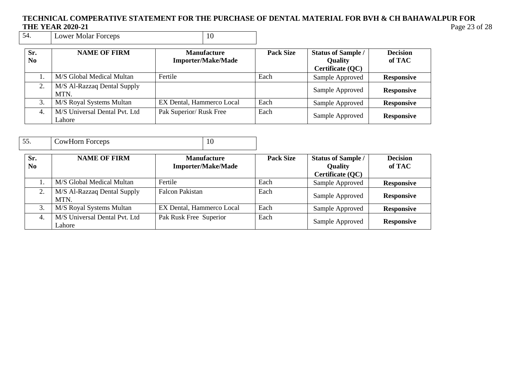# **TECHNICAL COMPERATIVE STATEMENT FOR THE PURCHASE OF DENTAL MATERIAL FOR BVH & CH BAHAWALPUR FOR THE YEAR 2020-21**<br>54. **Lower Molar Forceps** 10

| 10<br>-54.<br>Lower Molar Forceps |
|-----------------------------------|
|-----------------------------------|

| Sr.<br>N <sub>0</sub> | <b>NAME OF FIRM</b>                     | <b>Manufacture</b><br><b>Importer/Make/Made</b> | <b>Pack Size</b> | <b>Status of Sample /</b><br><b>Quality</b><br>Certificate (QC) | <b>Decision</b><br>of TAC |
|-----------------------|-----------------------------------------|-------------------------------------------------|------------------|-----------------------------------------------------------------|---------------------------|
|                       | M/S Global Medical Multan               | Fertile                                         | Each             | Sample Approved                                                 | <b>Responsive</b>         |
| 2.                    | M/S Al-Razzaq Dental Supply<br>MTN.     |                                                 |                  | Sample Approved                                                 | <b>Responsive</b>         |
| 3.                    | M/S Royal Systems Multan                | EX Dental, Hammerco Local                       | Each             | Sample Approved                                                 | <b>Responsive</b>         |
| -4.                   | M/S Universal Dental Pvt. Ltd<br>Lahore | Pak Superior/ Rusk Free                         | Each             | Sample Approved                                                 | <b>Responsive</b>         |

| 55.                   | <b>CowHorn Forceps</b>                  | 10                                              |                  |                                                          |                           |
|-----------------------|-----------------------------------------|-------------------------------------------------|------------------|----------------------------------------------------------|---------------------------|
| Sr.<br>N <sub>0</sub> | <b>NAME OF FIRM</b>                     | <b>Manufacture</b><br><b>Importer/Make/Made</b> | <b>Pack Size</b> | <b>Status of Sample /</b><br>Quality<br>Certificate (QC) | <b>Decision</b><br>of TAC |
|                       | M/S Global Medical Multan               | Fertile                                         | Each             | Sample Approved                                          | <b>Responsive</b>         |
| 2.                    | M/S Al-Razzaq Dental Supply<br>MTN.     | <b>Falcon Pakistan</b>                          | Each             | Sample Approved                                          | <b>Responsive</b>         |
| 3.                    | M/S Royal Systems Multan                | EX Dental, Hammerco Local                       | Each             | Sample Approved                                          | <b>Responsive</b>         |
| $\overline{4}$ .      | M/S Universal Dental Pvt. Ltd<br>Lahore | Pak Rusk Free Superior                          | Each             | Sample Approved                                          | <b>Responsive</b>         |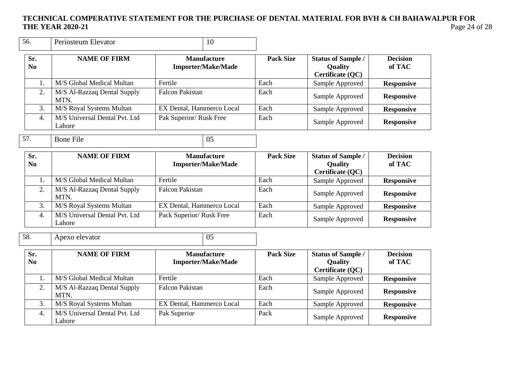| 56.                   | Periosteum Elevator                        |                           | 10                                              |                  |                                                          |                           |
|-----------------------|--------------------------------------------|---------------------------|-------------------------------------------------|------------------|----------------------------------------------------------|---------------------------|
| Sr.<br>N <sub>0</sub> | <b>NAME OF FIRM</b>                        |                           | <b>Manufacture</b><br>Importer/Make/Made        | <b>Pack Size</b> | <b>Status of Sample /</b><br>Quality<br>Certificate (QC) | <b>Decision</b><br>of TAC |
| 1.                    | M/S Global Medical Multan                  | Fertile                   |                                                 | Each             | Sample Approved                                          | <b>Responsive</b>         |
| 2.                    | M/S Al-Razzaq Dental Supply<br>MTN.        | <b>Falcon Pakistan</b>    |                                                 | Each             | Sample Approved                                          | <b>Responsive</b>         |
| 3.                    | M/S Royal Systems Multan                   | EX Dental, Hammerco Local |                                                 | Each             | Sample Approved                                          | <b>Responsive</b>         |
| $\overline{4}$ .      | M/S Universal Dental Pvt. Ltd<br>Lahore    | Pak Superior/ Rusk Free   |                                                 | Each             | Sample Approved                                          | <b>Responsive</b>         |
| 57.                   | <b>Bone File</b>                           |                           | 05                                              |                  |                                                          |                           |
| Sr.<br>N <sub>0</sub> | <b>NAME OF FIRM</b>                        |                           | <b>Manufacture</b><br><b>Importer/Make/Made</b> | <b>Pack Size</b> | <b>Status of Sample /</b><br>Quality<br>Certificate (QC) | <b>Decision</b><br>of TAC |
| 1.                    | M/S Global Medical Multan                  | Fertile                   |                                                 | Each             | Sample Approved                                          | <b>Responsive</b>         |
| 2.                    | M/S Al-Razzaq Dental Supply<br>MTN.        | <b>Falcon Pakistan</b>    |                                                 | Each             | Sample Approved                                          | <b>Responsive</b>         |
| 3.                    | M/S Royal Systems Multan                   | EX Dental, Hammerco Local |                                                 | Each             | Sample Approved                                          | <b>Responsive</b>         |
| $\overline{4}$ .      | M/S Universal Dental Pvt. Ltd<br>Lahore    | Pack Superior/ Rusk Free  |                                                 | Each             | Sample Approved                                          | <b>Responsive</b>         |
| 58.                   | Apexo elevator                             |                           | 05                                              |                  |                                                          |                           |
| Sr.<br>N <sub>0</sub> | <b>NAME OF FIRM</b>                        |                           | <b>Manufacture</b><br><b>Importer/Make/Made</b> | <b>Pack Size</b> | <b>Status of Sample /</b><br>Quality<br>Certificate (QC) | <b>Decision</b><br>of TAC |
| 1.                    | M/S Global Medical Multan                  | Fertile                   |                                                 | Each             | Sample Approved                                          | <b>Responsive</b>         |
| 2.                    | M/S Al-Razzaq Dental Supply<br>MTN.        | <b>Falcon Pakistan</b>    |                                                 | Each             | Sample Approved                                          | <b>Responsive</b>         |
| 3.                    | M/S Royal Systems Multan                   | EX Dental, Hammerco Local |                                                 | Each             | Sample Approved                                          | <b>Responsive</b>         |
| $\overline{4}$ .      | M/S Universal Dental Pvt. Ltd<br>$I$ chose | Pak Superior              |                                                 | Pack             | Sample Approved                                          | <b>Responsive</b>         |

Lahore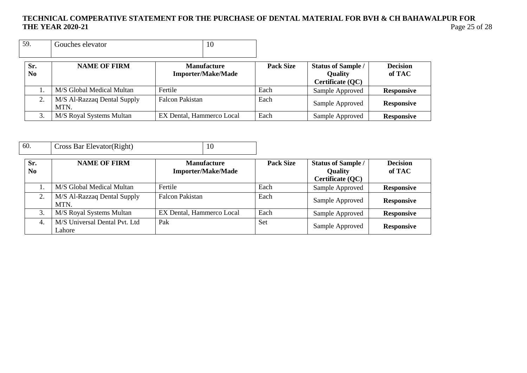| 59. |            | Gouches elevator                    | 10                                              |                  |                                                                 |                           |
|-----|------------|-------------------------------------|-------------------------------------------------|------------------|-----------------------------------------------------------------|---------------------------|
|     | Sr.<br>No. | <b>NAME OF FIRM</b>                 | <b>Manufacture</b><br><b>Importer/Make/Made</b> | <b>Pack Size</b> | <b>Status of Sample /</b><br><b>Quality</b><br>Certificate (QC) | <b>Decision</b><br>of TAC |
|     |            | M/S Global Medical Multan           | Fertile                                         | Each             | Sample Approved                                                 | <b>Responsive</b>         |
|     | 2.         | M/S Al-Razzaq Dental Supply<br>MTN. | <b>Falcon Pakistan</b>                          | Each             | Sample Approved                                                 | <b>Responsive</b>         |
|     | 3.         | M/S Royal Systems Multan            | EX Dental, Hammerco Local                       | Each             | Sample Approved                                                 | <b>Responsive</b>         |

| 60.                   | Cross Bar Elevator (Right)              | 10                                              |                  |                                                                 |                           |
|-----------------------|-----------------------------------------|-------------------------------------------------|------------------|-----------------------------------------------------------------|---------------------------|
| Sr.<br>N <sub>0</sub> | <b>NAME OF FIRM</b>                     | <b>Manufacture</b><br><b>Importer/Make/Made</b> | <b>Pack Size</b> | <b>Status of Sample /</b><br><b>Quality</b><br>Certificate (QC) | <b>Decision</b><br>of TAC |
|                       | M/S Global Medical Multan               | Fertile                                         | Each             | Sample Approved                                                 | <b>Responsive</b>         |
| 2.                    | M/S Al-Razzaq Dental Supply<br>MTN.     | <b>Falcon Pakistan</b>                          | Each             | Sample Approved                                                 | <b>Responsive</b>         |
| 3.                    | M/S Royal Systems Multan                | EX Dental, Hammerco Local                       | Each             | Sample Approved                                                 | <b>Responsive</b>         |
| 4.                    | M/S Universal Dental Pvt. Ltd<br>Lahore | Pak                                             | Set              | Sample Approved                                                 | <b>Responsive</b>         |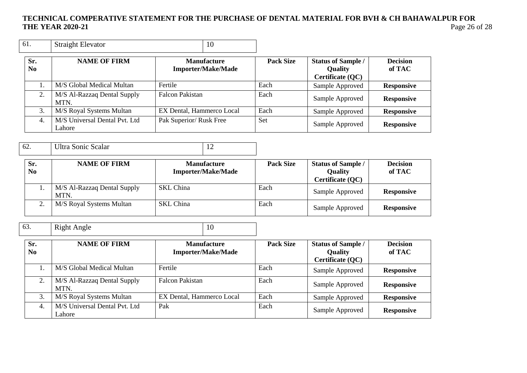| 61.                   | <b>Straight Elevator</b>                | 10                                              |                  |                                                          |                           |
|-----------------------|-----------------------------------------|-------------------------------------------------|------------------|----------------------------------------------------------|---------------------------|
| Sr.<br>N <sub>0</sub> | <b>NAME OF FIRM</b>                     | <b>Manufacture</b><br><b>Importer/Make/Made</b> | <b>Pack Size</b> | <b>Status of Sample /</b><br>Quality<br>Certificate (QC) | <b>Decision</b><br>of TAC |
|                       | M/S Global Medical Multan               | Fertile                                         | Each             | Sample Approved                                          | <b>Responsive</b>         |
| 2.                    | M/S Al-Razzaq Dental Supply<br>MTN.     | <b>Falcon Pakistan</b>                          | Each             | Sample Approved                                          | <b>Responsive</b>         |
| 3.                    | M/S Royal Systems Multan                | EX Dental, Hammerco Local                       | Each             | Sample Approved                                          | <b>Responsive</b>         |
| 4.                    | M/S Universal Dental Pvt. Ltd<br>Lahore | Pak Superior/ Rusk Free                         | Set              | Sample Approved                                          | <b>Responsive</b>         |

| 62.                   | Ultra Sonic Scalar                  |                                                 |                  |                                                                 |                           |
|-----------------------|-------------------------------------|-------------------------------------------------|------------------|-----------------------------------------------------------------|---------------------------|
| Sr.<br>N <sub>0</sub> | <b>NAME OF FIRM</b>                 | <b>Manufacture</b><br><b>Importer/Make/Made</b> | <b>Pack Size</b> | <b>Status of Sample /</b><br><b>Quality</b><br>Certificate (QC) | <b>Decision</b><br>of TAC |
|                       | M/S Al-Razzaq Dental Supply<br>MTN. | <b>SKL</b> China                                | Each             | Sample Approved                                                 | <b>Responsive</b>         |
|                       | M/S Royal Systems Multan            | <b>SKL</b> China                                | Each             | Sample Approved                                                 | <b>Responsive</b>         |

| 63. | Right Angle | ◡ |
|-----|-------------|---|

| Sr.<br>N <sub>0</sub> | <b>NAME OF FIRM</b>                     | <b>Manufacture</b><br><b>Importer/Make/Made</b> | <b>Pack Size</b> | <b>Status of Sample /</b><br><b>Quality</b><br>Certificate (QC) | <b>Decision</b><br>of TAC |
|-----------------------|-----------------------------------------|-------------------------------------------------|------------------|-----------------------------------------------------------------|---------------------------|
|                       | M/S Global Medical Multan               | Fertile                                         | Each             | Sample Approved                                                 | <b>Responsive</b>         |
| 2.                    | M/S Al-Razzaq Dental Supply<br>MTN.     | <b>Falcon Pakistan</b>                          | Each             | Sample Approved                                                 | <b>Responsive</b>         |
| 3.                    | M/S Royal Systems Multan                | EX Dental, Hammerco Local                       | Each             | Sample Approved                                                 | <b>Responsive</b>         |
| 4.                    | M/S Universal Dental Pvt. Ltd<br>Lahore | Pak                                             | Each             | Sample Approved                                                 | <b>Responsive</b>         |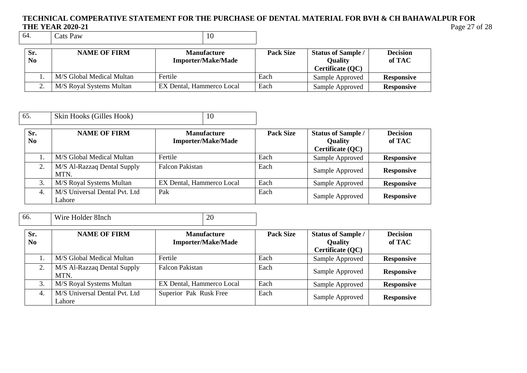## **TECHNICAL COMPERATIVE STATEMENT FOR THE PURCHASE OF DENTAL MATERIAL FOR BVH & CH BAHAWALPUR FOR THE YEAR 2020-21 Page 27 of 28 of 28 of 28 of 28 of 28 of 28 of 28 of 28 of 28 of 28 of 28 of 28 of 28 of 28 of 28 of 28 of 28 of 28 of 28 of 28 of 28 of 28 of 28 of 28 of 28 of 28 of 28 of 28 of 28 of 28 of 28 of 28 of**

Cats Paw

| Sr.<br>N <sub>0</sub> | <b>NAME OF FIRM</b>       | <b>Manufacture</b><br><b>Importer/Make/Made</b> | <b>Pack Size</b> | <b>Status of Sample /</b><br><b>Ouality</b><br>Certificate (QC) | <b>Decision</b><br>of TAC |
|-----------------------|---------------------------|-------------------------------------------------|------------------|-----------------------------------------------------------------|---------------------------|
|                       | M/S Global Medical Multan | Fertile                                         | Each             | Sample Approved                                                 | <b>Responsive</b>         |
|                       | M/S Royal Systems Multan  | EX Dental, Hammerco Local                       | Each             | Sample Approved                                                 | <b>Responsive</b>         |

| 65. |                       | Skin Hooks (Gilles Hook)                | 10                                              |                  |                                                                 |                           |
|-----|-----------------------|-----------------------------------------|-------------------------------------------------|------------------|-----------------------------------------------------------------|---------------------------|
|     | Sr.<br>N <sub>0</sub> | <b>NAME OF FIRM</b>                     | <b>Manufacture</b><br><b>Importer/Make/Made</b> | <b>Pack Size</b> | <b>Status of Sample /</b><br><b>Quality</b><br>Certificate (QC) | <b>Decision</b><br>of TAC |
|     |                       | M/S Global Medical Multan               | Fertile                                         | Each             | Sample Approved                                                 | <b>Responsive</b>         |
|     | 2.                    | M/S Al-Razzaq Dental Supply<br>MTN.     | <b>Falcon Pakistan</b>                          | Each             | Sample Approved                                                 | <b>Responsive</b>         |
|     | 3.                    | M/S Royal Systems Multan                | EX Dental, Hammerco Local                       | Each             | Sample Approved                                                 | <b>Responsive</b>         |
|     | 4.                    | M/S Universal Dental Pvt. Ltd<br>Lahore | Pak                                             | Each             | Sample Approved                                                 | <b>Responsive</b>         |

| 66.                   | Wire Holder 8Inch                       | 20                                              |                  |                                                                 |                           |
|-----------------------|-----------------------------------------|-------------------------------------------------|------------------|-----------------------------------------------------------------|---------------------------|
| Sr.<br>N <sub>0</sub> | <b>NAME OF FIRM</b>                     | <b>Manufacture</b><br><b>Importer/Make/Made</b> | <b>Pack Size</b> | <b>Status of Sample /</b><br><b>Quality</b><br>Certificate (QC) | <b>Decision</b><br>of TAC |
|                       | M/S Global Medical Multan               | Fertile                                         | Each             | Sample Approved                                                 | <b>Responsive</b>         |
| 2.                    | M/S Al-Razzaq Dental Supply<br>MTN.     | <b>Falcon Pakistan</b>                          | Each             | Sample Approved                                                 | <b>Responsive</b>         |
| 3.                    | M/S Royal Systems Multan                | EX Dental, Hammerco Local                       | Each             | Sample Approved                                                 | <b>Responsive</b>         |
| 4.                    | M/S Universal Dental Pvt. Ltd<br>Lahore | Superior Pak Rusk Free                          | Each             | Sample Approved                                                 | <b>Responsive</b>         |